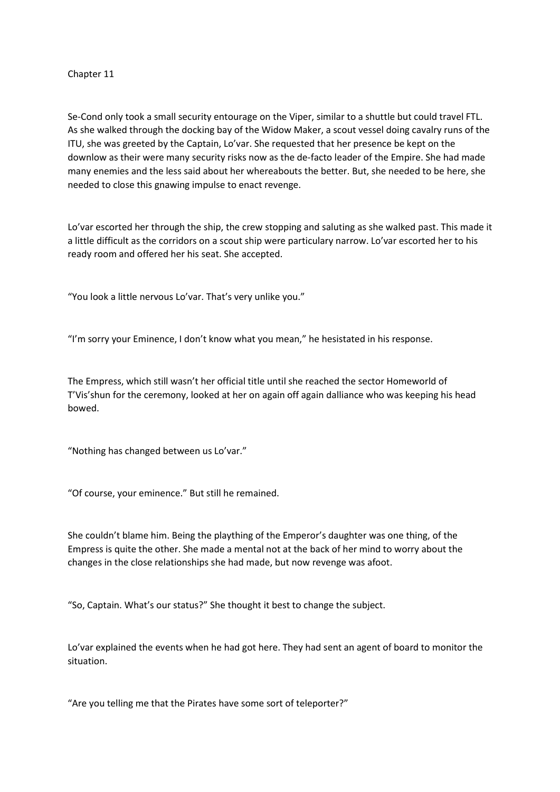## Chapter 11

Se-Cond only took a small security entourage on the Viper, similar to a shuttle but could travel FTL. As she walked through the docking bay of the Widow Maker, a scout vessel doing cavalry runs of the ITU, she was greeted by the Captain, Lo'var. She requested that her presence be kept on the downlow as their were many security risks now as the de-facto leader of the Empire. She had made many enemies and the less said about her whereabouts the better. But, she needed to be here, she needed to close this gnawing impulse to enact revenge.

Lo'var escorted her through the ship, the crew stopping and saluting as she walked past. This made it a little difficult as the corridors on a scout ship were particulary narrow. Lo'var escorted her to his ready room and offered her his seat. She accepted.

"You look a little nervous Lo'var. That's very unlike you."

"I'm sorry your Eminence, I don't know what you mean," he hesistated in his response.

The Empress, which still wasn't her official title until she reached the sector Homeworld of T'Vis'shun for the ceremony, looked at her on again off again dalliance who was keeping his head bowed.

"Nothing has changed between us Lo'var."

"Of course, your eminence." But still he remained.

She couldn't blame him. Being the plaything of the Emperor's daughter was one thing, of the Empress is quite the other. She made a mental not at the back of her mind to worry about the changes in the close relationships she had made, but now revenge was afoot.

"So, Captain. What's our status?" She thought it best to change the subject.

Lo'var explained the events when he had got here. They had sent an agent of board to monitor the situation.

"Are you telling me that the Pirates have some sort of teleporter?"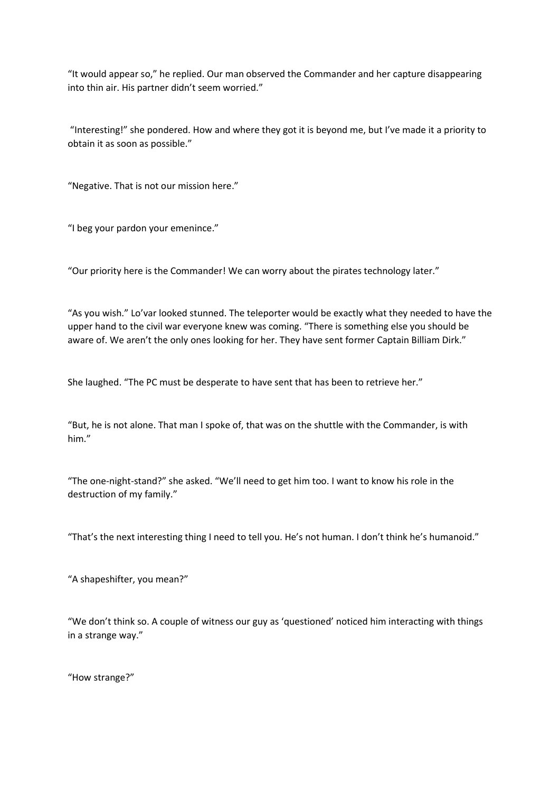"It would appear so," he replied. Our man observed the Commander and her capture disappearing into thin air. His partner didn't seem worried."

 "Interesting!" she pondered. How and where they got it is beyond me, but I've made it a priority to obtain it as soon as possible."

"Negative. That is not our mission here."

"I beg your pardon your emenince."

"Our priority here is the Commander! We can worry about the pirates technology later."

"As you wish." Lo'var looked stunned. The teleporter would be exactly what they needed to have the upper hand to the civil war everyone knew was coming. "There is something else you should be aware of. We aren't the only ones looking for her. They have sent former Captain Billiam Dirk."

She laughed. "The PC must be desperate to have sent that has been to retrieve her."

"But, he is not alone. That man I spoke of, that was on the shuttle with the Commander, is with him."

"The one-night-stand?" she asked. "We'll need to get him too. I want to know his role in the destruction of my family."

"That's the next interesting thing I need to tell you. He's not human. I don't think he's humanoid."

"A shapeshifter, you mean?"

"We don't think so. A couple of witness our guy as 'questioned' noticed him interacting with things in a strange way."

"How strange?"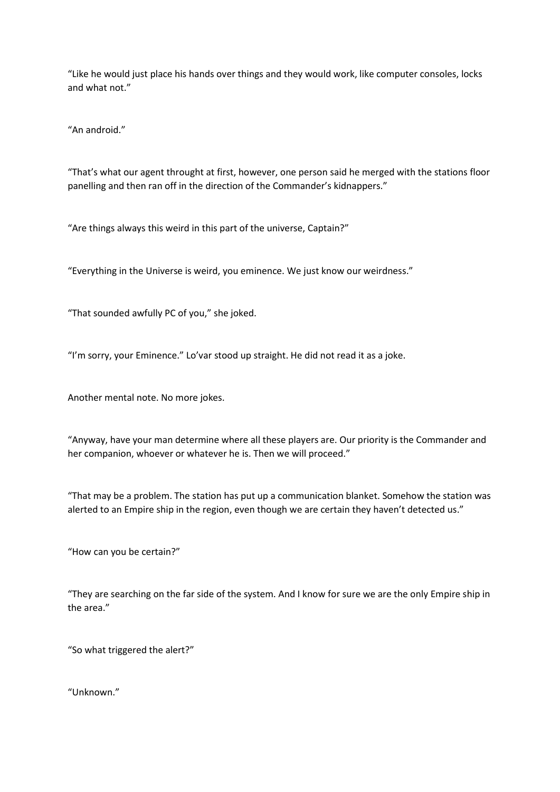"Like he would just place his hands over things and they would work, like computer consoles, locks and what not."

"An android."

"That's what our agent throught at first, however, one person said he merged with the stations floor panelling and then ran off in the direction of the Commander's kidnappers."

"Are things always this weird in this part of the universe, Captain?"

"Everything in the Universe is weird, you eminence. We just know our weirdness."

"That sounded awfully PC of you," she joked.

"I'm sorry, your Eminence." Lo'var stood up straight. He did not read it as a joke.

Another mental note. No more jokes.

"Anyway, have your man determine where all these players are. Our priority is the Commander and her companion, whoever or whatever he is. Then we will proceed."

"That may be a problem. The station has put up a communication blanket. Somehow the station was alerted to an Empire ship in the region, even though we are certain they haven't detected us."

"How can you be certain?"

"They are searching on the far side of the system. And I know for sure we are the only Empire ship in the area."

"So what triggered the alert?"

"Unknown."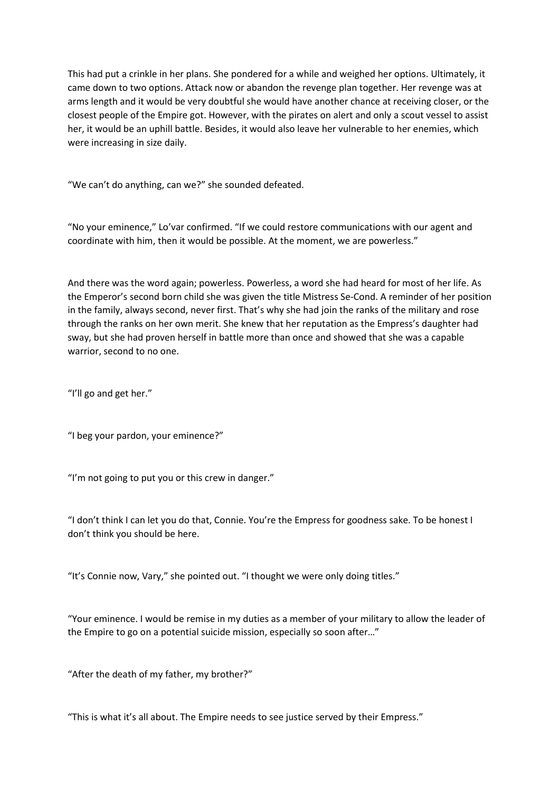This had put a crinkle in her plans. She pondered for a while and weighed her options. Ultimately, it came down to two options. Attack now or abandon the revenge plan together. Her revenge was at arms length and it would be very doubtful she would have another chance at receiving closer, or the closest people of the Empire got. However, with the pirates on alert and only a scout vessel to assist her, it would be an uphill battle. Besides, it would also leave her vulnerable to her enemies, which were increasing in size daily.

"We can't do anything, can we?" she sounded defeated.

"No your eminence," Lo'var confirmed. "If we could restore communications with our agent and coordinate with him, then it would be possible. At the moment, we are powerless."

And there was the word again; powerless. Powerless, a word she had heard for most of her life. As the Emperor's second born child she was given the title Mistress Se-Cond. A reminder of her position in the family, always second, never first. That's why she had join the ranks of the military and rose through the ranks on her own merit. She knew that her reputation as the Empress's daughter had sway, but she had proven herself in battle more than once and showed that she was a capable warrior, second to no one.

"I'll go and get her."

"I beg your pardon, your eminence?"

"I'm not going to put you or this crew in danger."

"I don't think I can let you do that, Connie. You're the Empress for goodness sake. To be honest I don't think you should be here.

"It's Connie now, Vary," she pointed out. "I thought we were only doing titles."

"Your eminence. I would be remise in my duties as a member of your military to allow the leader of the Empire to go on a potential suicide mission, especially so soon after…"

"After the death of my father, my brother?"

"This is what it's all about. The Empire needs to see justice served by their Empress."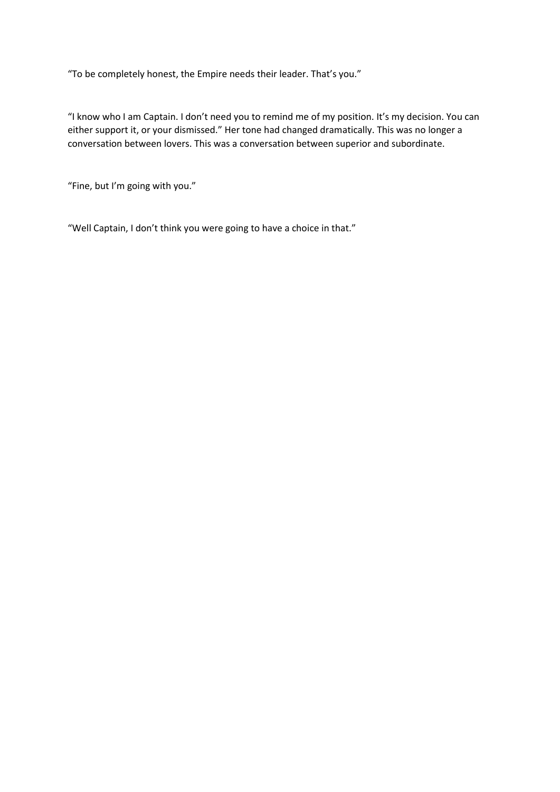"To be completely honest, the Empire needs their leader. That's you."

"I know who I am Captain. I don't need you to remind me of my position. It's my decision. You can either support it, or your dismissed." Her tone had changed dramatically. This was no longer a conversation between lovers. This was a conversation between superior and subordinate.

"Fine, but I'm going with you."

"Well Captain, I don't think you were going to have a choice in that."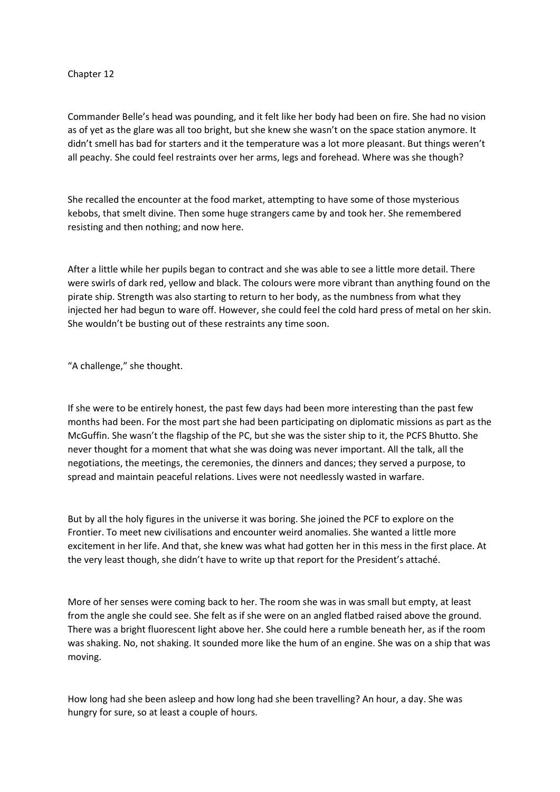## Chapter 12

Commander Belle's head was pounding, and it felt like her body had been on fire. She had no vision as of yet as the glare was all too bright, but she knew she wasn't on the space station anymore. It didn't smell has bad for starters and it the temperature was a lot more pleasant. But things weren't all peachy. She could feel restraints over her arms, legs and forehead. Where was she though?

She recalled the encounter at the food market, attempting to have some of those mysterious kebobs, that smelt divine. Then some huge strangers came by and took her. She remembered resisting and then nothing; and now here.

After a little while her pupils began to contract and she was able to see a little more detail. There were swirls of dark red, yellow and black. The colours were more vibrant than anything found on the pirate ship. Strength was also starting to return to her body, as the numbness from what they injected her had begun to ware off. However, she could feel the cold hard press of metal on her skin. She wouldn't be busting out of these restraints any time soon.

"A challenge," she thought.

If she were to be entirely honest, the past few days had been more interesting than the past few months had been. For the most part she had been participating on diplomatic missions as part as the McGuffin. She wasn't the flagship of the PC, but she was the sister ship to it, the PCFS Bhutto. She never thought for a moment that what she was doing was never important. All the talk, all the negotiations, the meetings, the ceremonies, the dinners and dances; they served a purpose, to spread and maintain peaceful relations. Lives were not needlessly wasted in warfare.

But by all the holy figures in the universe it was boring. She joined the PCF to explore on the Frontier. To meet new civilisations and encounter weird anomalies. She wanted a little more excitement in her life. And that, she knew was what had gotten her in this mess in the first place. At the very least though, she didn't have to write up that report for the President's attaché.

More of her senses were coming back to her. The room she was in was small but empty, at least from the angle she could see. She felt as if she were on an angled flatbed raised above the ground. There was a bright fluorescent light above her. She could here a rumble beneath her, as if the room was shaking. No, not shaking. It sounded more like the hum of an engine. She was on a ship that was moving.

How long had she been asleep and how long had she been travelling? An hour, a day. She was hungry for sure, so at least a couple of hours.